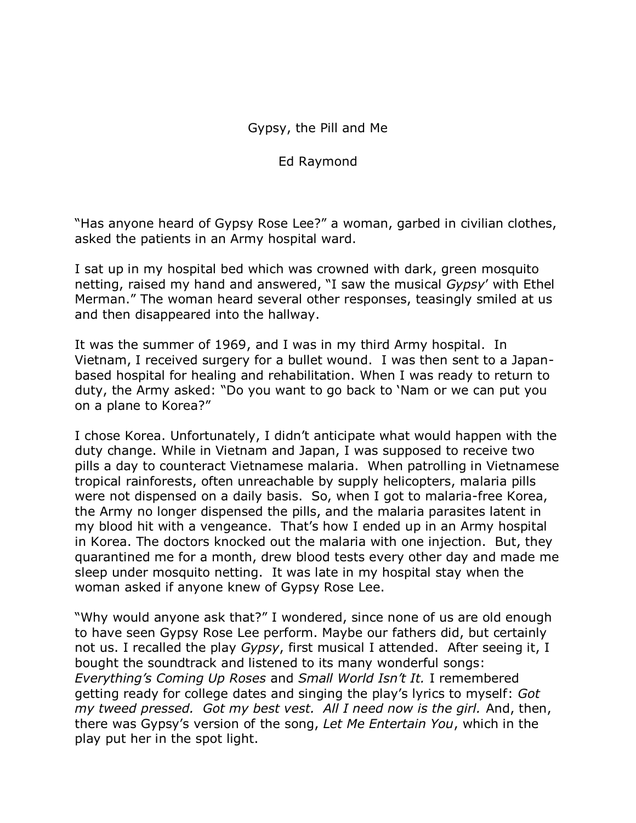## Gypsy, the Pill and Me

Ed Raymond

"Has anyone heard of Gypsy Rose Lee?" a woman, garbed in civilian clothes, asked the patients in an Army hospital ward.

I sat up in my hospital bed which was crowned with dark, green mosquito netting, raised my hand and answered, "I saw the musical *Gypsy*' with Ethel Merman." The woman heard several other responses, teasingly smiled at us and then disappeared into the hallway.

It was the summer of 1969, and I was in my third Army hospital. In Vietnam, I received surgery for a bullet wound. I was then sent to a Japanbased hospital for healing and rehabilitation. When I was ready to return to duty, the Army asked: "Do you want to go back to 'Nam or we can put you on a plane to Korea?"

I chose Korea. Unfortunately, I didn't anticipate what would happen with the duty change. While in Vietnam and Japan, I was supposed to receive two pills a day to counteract Vietnamese malaria. When patrolling in Vietnamese tropical rainforests, often unreachable by supply helicopters, malaria pills were not dispensed on a daily basis. So, when I got to malaria-free Korea, the Army no longer dispensed the pills, and the malaria parasites latent in my blood hit with a vengeance. That's how I ended up in an Army hospital in Korea. The doctors knocked out the malaria with one injection. But, they quarantined me for a month, drew blood tests every other day and made me sleep under mosquito netting. It was late in my hospital stay when the woman asked if anyone knew of Gypsy Rose Lee.

"Why would anyone ask that?" I wondered, since none of us are old enough to have seen Gypsy Rose Lee perform. Maybe our fathers did, but certainly not us. I recalled the play *Gypsy*, first musical I attended. After seeing it, I bought the soundtrack and listened to its many wonderful songs: *Everything's Coming Up Roses* and *Small World Isn't It.* I remembered getting ready for college dates and singing the play's lyrics to myself: *Got my tweed pressed. Got my best vest. All I need now is the girl.* And, then, there was Gypsy's version of the song, *Let Me Entertain You*, which in the play put her in the spot light.